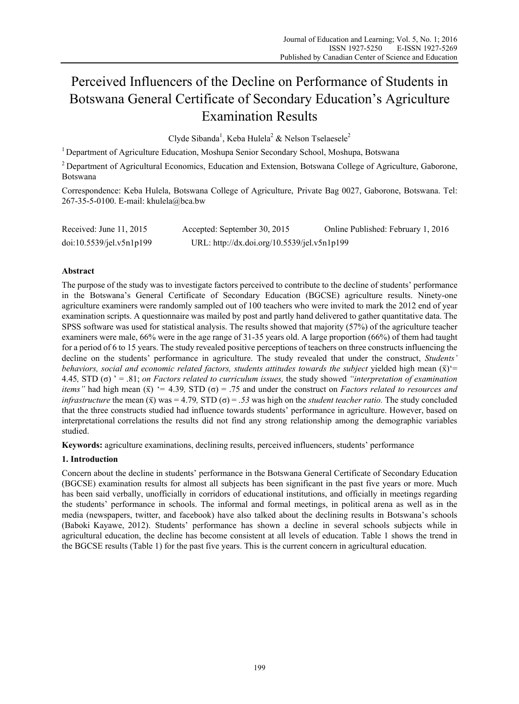# Perceived Influencers of the Decline on Performance of Students in Botswana General Certificate of Secondary Education's Agriculture Examination Results

Clyde Sibanda<sup>1</sup>, Keba Hulela<sup>2</sup> & Nelson Tselaesele<sup>2</sup>

<sup>1</sup> Department of Agriculture Education, Moshupa Senior Secondary School, Moshupa, Botswana

<sup>2</sup> Department of Agricultural Economics, Education and Extension, Botswana College of Agriculture, Gaborone, Botswana

Correspondence: Keba Hulela, Botswana College of Agriculture, Private Bag 0027, Gaborone, Botswana. Tel: 267-35-5-0100. E-mail: khulela@bca.bw

| Received: June 11, 2015  | Accepted: September 30, 2015                | Online Published: February 1, 2016 |
|--------------------------|---------------------------------------------|------------------------------------|
| doi:10.5539/jel.v5n1p199 | URL: http://dx.doi.org/10.5539/jel.v5n1p199 |                                    |

# **Abstract**

The purpose of the study was to investigate factors perceived to contribute to the decline of students' performance in the Botswana's General Certificate of Secondary Education (BGCSE) agriculture results. Ninety-one agriculture examiners were randomly sampled out of 100 teachers who were invited to mark the 2012 end of year examination scripts. A questionnaire was mailed by post and partly hand delivered to gather quantitative data. The SPSS software was used for statistical analysis. The results showed that majority (57%) of the agriculture teacher examiners were male, 66% were in the age range of 31-35 years old. A large proportion (66%) of them had taught for a period of 6 to 15 years. The study revealed positive perceptions of teachers on three constructs influencing the decline on the students' performance in agriculture. The study revealed that under the construct, *Students' behaviors, social and economic related factors, students attitudes towards the subject yielded high mean*  $(\bar{x})'$ = 4.45*,* STD (σ) ' = .81; *on Factors related to curriculum issues,* the study sho*we*d *"interpretation of examination items*" had high mean  $(\bar{x})$  '= 4.39, STD ( $\sigma$ ) = .75 and under the construct on *Factors related to resources and infrastructure* the mean  $(\bar{x})$  was = 4.79, STD  $(\sigma)$  = .53 was high on the *student teacher ratio*. The study concluded that the three constructs studied had influence towards students' performance in agriculture. However, based on interpretational correlations the results did not find any strong relationship among the demographic variables studied.

**Keywords:** agriculture examinations, declining results, perceived influencers, students' performance

# **1. Introduction**

Concern about the decline in students' performance in the Botswana General Certificate of Secondary Education (BGCSE) examination results for almost all subjects has been significant in the past five years or more. Much has been said verbally, unofficially in corridors of educational institutions, and officially in meetings regarding the students' performance in schools. The informal and formal meetings, in political arena as well as in the media (newspapers, twitter, and facebook) have also talked about the declining results in Botswana's schools (Baboki Kayawe, 2012). Students' performance has shown a decline in several schools subjects while in agricultural education, the decline has become consistent at all levels of education. Table 1 shows the trend in the BGCSE results (Table 1) for the past five years. This is the current concern in agricultural education.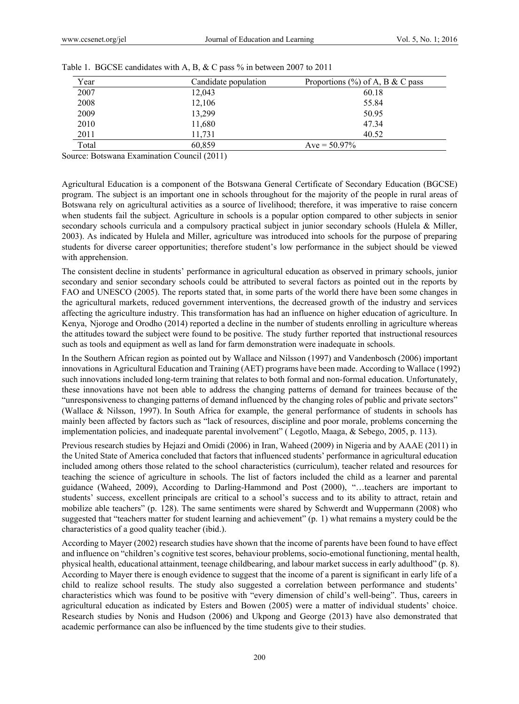| Year  | Candidate population | Proportions $(\%)$ of A, B & C pass |
|-------|----------------------|-------------------------------------|
| 2007  | 12,043               | 60.18                               |
| 2008  | 12,106               | 55.84                               |
| 2009  | 13,299               | 50.95                               |
| 2010  | 11,680               | 47.34                               |
| 2011  | 11.731               | 40.52                               |
| Total | 60.859               | Ave = $50.97\%$                     |

Table 1. BGCSE candidates with A, B, & C pass % in between 2007 to 2011

Source: Botswana Examination Council (2011)

Agricultural Education is a component of the Botswana General Certificate of Secondary Education (BGCSE) program. The subject is an important one in schools throughout for the majority of the people in rural areas of Botswana rely on agricultural activities as a source of livelihood; therefore, it was imperative to raise concern when students fail the subject. Agriculture in schools is a popular option compared to other subjects in senior secondary schools curricula and a compulsory practical subject in junior secondary schools (Hulela & Miller, 2003). As indicated by Hulela and Miller, agriculture was introduced into schools for the purpose of preparing students for diverse career opportunities; therefore student's low performance in the subject should be viewed with apprehension.

The consistent decline in students' performance in agricultural education as observed in primary schools, junior secondary and senior secondary schools could be attributed to several factors as pointed out in the reports by FAO and UNESCO (2005). The reports stated that, in some parts of the world there have been some changes in the agricultural markets, reduced government interventions, the decreased growth of the industry and services affecting the agriculture industry. This transformation has had an influence on higher education of agriculture. In Kenya, Njoroge and Orodho (2014) reported a decline in the number of students enrolling in agriculture whereas the attitudes toward the subject were found to be positive. The study further reported that instructional resources such as tools and equipment as well as land for farm demonstration were inadequate in schools.

In the Southern African region as pointed out by Wallace and Nilsson (1997) and Vandenbosch (2006) important innovations in Agricultural Education and Training (AET) programs have been made. According to Wallace (1992) such innovations included long-term training that relates to both formal and non-formal education. Unfortunately, these innovations have not been able to address the changing patterns of demand for trainees because of the "unresponsiveness to changing patterns of demand influenced by the changing roles of public and private sectors" (Wallace & Nilsson, 1997). In South Africa for example, the general performance of students in schools has mainly been affected by factors such as "lack of resources, discipline and poor morale, problems concerning the implementation policies, and inadequate parental involvement" ( Legotlo, Maaga, & Sebego, 2005, p. 113).

Previous research studies by Hejazi and Omidi (2006) in Iran, Waheed (2009) in Nigeria and by AAAE (2011) in the United State of America concluded that factors that influenced students' performance in agricultural education included among others those related to the school characteristics (curriculum), teacher related and resources for teaching the science of agriculture in schools. The list of factors included the child as a learner and parental guidance (Waheed, 2009), According to Darling-Hammond and Post (2000), "…teachers are important to students' success, excellent principals are critical to a school's success and to its ability to attract, retain and mobilize able teachers" (p. 128). The same sentiments were shared by Schwerdt and Wuppermann (2008) who suggested that "teachers matter for student learning and achievement" (p. 1) what remains a mystery could be the characteristics of a good quality teacher (ibid.).

According to Mayer (2002) research studies have shown that the income of parents have been found to have effect and influence on "children's cognitive test scores, behaviour problems, socio-emotional functioning, mental health, physical health, educational attainment, teenage childbearing, and labour market success in early adulthood" (p. 8). According to Mayer there is enough evidence to suggest that the income of a parent is significant in early life of a child to realize school results. The study also suggested a correlation between performance and students' characteristics which was found to be positive with "every dimension of child's well-being". Thus, careers in agricultural education as indicated by Esters and Bowen (2005) were a matter of individual students' choice. Research studies by Nonis and Hudson (2006) and Ukpong and George (2013) have also demonstrated that academic performance can also be influenced by the time students give to their studies.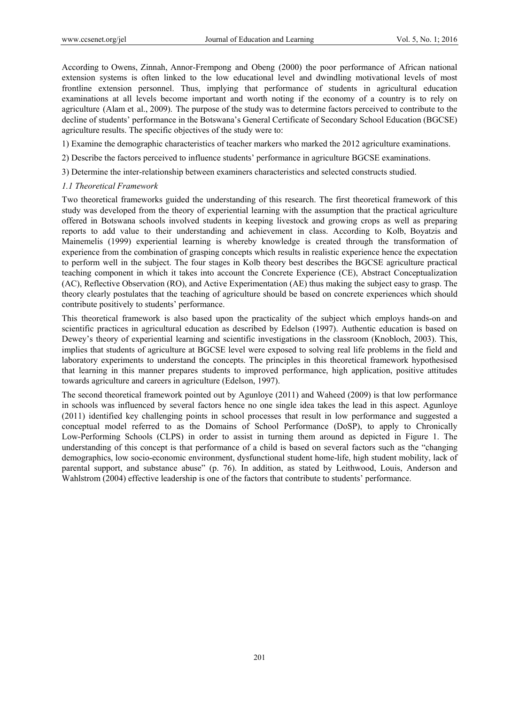According to Owens, Zinnah, Annor-Frempong and Obeng (2000) the poor performance of African national extension systems is often linked to the low educational level and dwindling motivational levels of most frontline extension personnel. Thus, implying that performance of students in agricultural education examinations at all levels become important and worth noting if the economy of a country is to rely on agriculture (Alam et al., 2009). The purpose of the study was to determine factors perceived to contribute to the decline of students' performance in the Botswana's General Certificate of Secondary School Education (BGCSE) agriculture results. The specific objectives of the study were to:

- 1) Examine the demographic characteristics of teacher markers who marked the 2012 agriculture examinations.
- 2) Describe the factors perceived to influence students' performance in agriculture BGCSE examinations.
- 3) Determine the inter-relationship between examiners characteristics and selected constructs studied.

#### *1.1 Theoretical Framework*

Two theoretical frameworks guided the understanding of this research. The first theoretical framework of this study was developed from the theory of experiential learning with the assumption that the practical agriculture offered in Botswana schools involved students in keeping livestock and growing crops as well as preparing reports to add value to their understanding and achievement in class. According to Kolb, Boyatzis and Mainemelis (1999) experiential learning is whereby knowledge is created through the transformation of experience from the combination of grasping concepts which results in realistic experience hence the expectation to perform well in the subject. The four stages in Kolb theory best describes the BGCSE agriculture practical teaching component in which it takes into account the Concrete Experience (CE), Abstract Conceptualization (AC), Reflective Observation (RO), and Active Experimentation (AE) thus making the subject easy to grasp. The theory clearly postulates that the teaching of agriculture should be based on concrete experiences which should contribute positively to students' performance.

This theoretical framework is also based upon the practicality of the subject which employs hands-on and scientific practices in agricultural education as described by Edelson (1997). Authentic education is based on Dewey's theory of experiential learning and scientific investigations in the classroom (Knobloch, 2003). This, implies that students of agriculture at BGCSE level were exposed to solving real life problems in the field and laboratory experiments to understand the concepts. The principles in this theoretical framework hypothesised that learning in this manner prepares students to improved performance, high application, positive attitudes towards agriculture and careers in agriculture (Edelson, 1997).

The second theoretical framework pointed out by Agunloye (2011) and Waheed (2009) is that low performance in schools was influenced by several factors hence no one single idea takes the lead in this aspect. Agunloye (2011) identified key challenging points in school processes that result in low performance and suggested a conceptual model referred to as the Domains of School Performance (DoSP), to apply to Chronically Low-Performing Schools (CLPS) in order to assist in turning them around as depicted in Figure 1. The understanding of this concept is that performance of a child is based on several factors such as the "changing demographics, low socio-economic environment, dysfunctional student home-life, high student mobility, lack of parental support, and substance abuse" (p. 76). In addition, as stated by Leithwood, Louis, Anderson and Wahlstrom (2004) effective leadership is one of the factors that contribute to students' performance.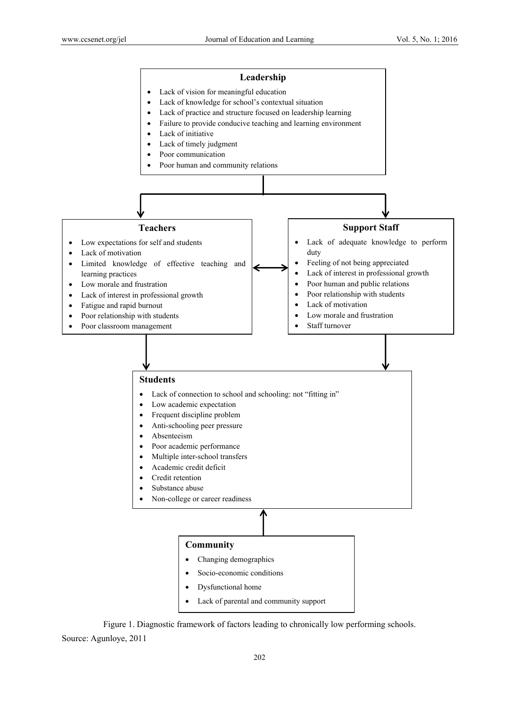

Figure 1. Diagnostic framework of factors leading to chronically low performing schools. Source: Agunloye, 2011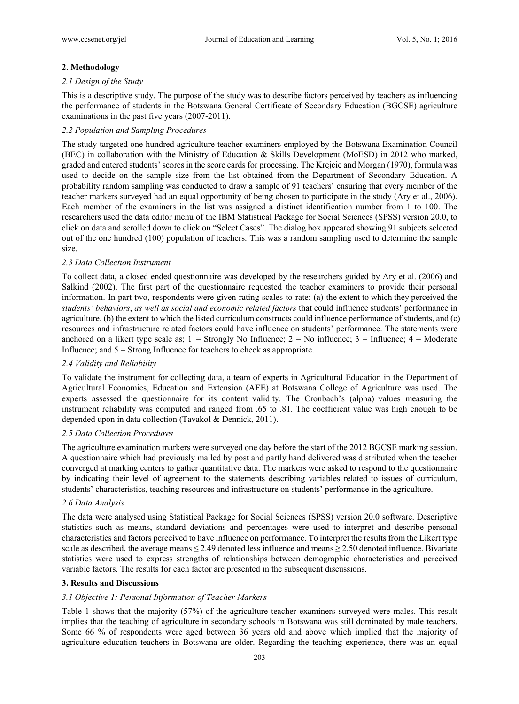## **2. Methodology**

## *2.1 Design of the Study*

This is a descriptive study. The purpose of the study was to describe factors perceived by teachers as influencing the performance of students in the Botswana General Certificate of Secondary Education (BGCSE) agriculture examinations in the past five years (2007-2011).

## *2.2 Population and Sampling Procedures*

The study targeted one hundred agriculture teacher examiners employed by the Botswana Examination Council (BEC) in collaboration with the Ministry of Education & Skills Development (MoESD) in 2012 who marked, graded and entered students' scores in the score cards for processing. The Krejcie and Morgan (1970), formula was used to decide on the sample size from the list obtained from the Department of Secondary Education. A probability random sampling was conducted to draw a sample of 91 teachers' ensuring that every member of the teacher markers surveyed had an equal opportunity of being chosen to participate in the study (Ary et al., 2006). Each member of the examiners in the list was assigned a distinct identification number from 1 to 100. The researchers used the data editor menu of the IBM Statistical Package for Social Sciences (SPSS) version 20.0, to click on data and scrolled down to click on "Select Cases". The dialog box appeared showing 91 subjects selected out of the one hundred (100) population of teachers. This was a random sampling used to determine the sample size.

## *2.3 Data Collection Instrument*

To collect data, a closed ended questionnaire was developed by the researchers guided by Ary et al. (2006) and Salkind (2002). The first part of the questionnaire requested the teacher examiners to provide their personal information. In part two, respondents were given rating scales to rate: (a) the extent to which they perceived the *students' behaviors*, *as well as social and economic related factors* that could influence students' performance in agriculture, (b) the extent to which the listed curriculum constructs could influence performance of students, and (c) resources and infrastructure related factors could have influence on students' performance. The statements were anchored on a likert type scale as;  $1 =$  Strongly No Influence;  $2 =$  No influence;  $3 =$  Influence;  $4 =$  Moderate Influence; and 5 = Strong Influence for teachers to check as appropriate.

# *2.4 Validity and Reliability*

To validate the instrument for collecting data, a team of experts in Agricultural Education in the Department of Agricultural Economics, Education and Extension (AEE) at Botswana College of Agriculture was used. The experts assessed the questionnaire for its content validity. The Cronbach's (alpha) values measuring the instrument reliability was computed and ranged from .65 to .81. The coefficient value was high enough to be depended upon in data collection (Tavakol & Dennick, 2011).

## *2.5 Data Collection Procedures*

The agriculture examination markers were surveyed one day before the start of the 2012 BGCSE marking session. A questionnaire which had previously mailed by post and partly hand delivered was distributed when the teacher converged at marking centers to gather quantitative data. The markers were asked to respond to the questionnaire by indicating their level of agreement to the statements describing variables related to issues of curriculum, students' characteristics, teaching resources and infrastructure on students' performance in the agriculture.

## *2.6 Data Analysis*

The data were analysed using Statistical Package for Social Sciences (SPSS) version 20.0 software. Descriptive statistics such as means, standard deviations and percentages were used to interpret and describe personal characteristics and factors perceived to have influence on performance. To interpret the results from the Likert type scale as described, the average means  $\leq$  2.49 denoted less influence and means  $\geq$  2.50 denoted influence. Bivariate statistics were used to express strengths of relationships between demographic characteristics and perceived variable factors. The results for each factor are presented in the subsequent discussions.

## **3. Results and Discussions**

## *3.1 Objective 1: Personal Information of Teacher Markers*

Table 1 shows that the majority (57%) of the agriculture teacher examiners surveyed were males. This result implies that the teaching of agriculture in secondary schools in Botswana was still dominated by male teachers. Some 66 % of respondents were aged between 36 years old and above which implied that the majority of agriculture education teachers in Botswana are older. Regarding the teaching experience, there was an equal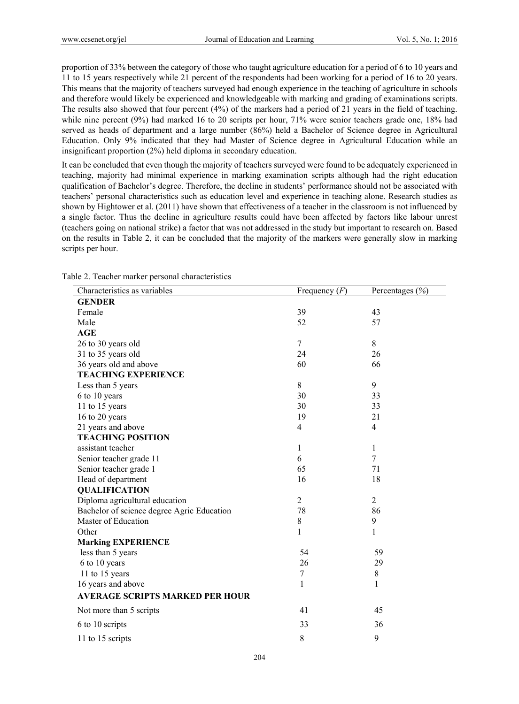proportion of 33% between the category of those who taught agriculture education for a period of 6 to 10 years and 11 to 15 years respectively while 21 percent of the respondents had been working for a period of 16 to 20 years. This means that the majority of teachers surveyed had enough experience in the teaching of agriculture in schools and therefore would likely be experienced and knowledgeable with marking and grading of examinations scripts. The results also showed that four percent (4%) of the markers had a period of 21 years in the field of teaching. while nine percent (9%) had marked 16 to 20 scripts per hour, 71% were senior teachers grade one, 18% had served as heads of department and a large number (86%) held a Bachelor of Science degree in Agricultural Education. Only 9% indicated that they had Master of Science degree in Agricultural Education while an insignificant proportion (2%) held diploma in secondary education.

It can be concluded that even though the majority of teachers surveyed were found to be adequately experienced in teaching, majority had minimal experience in marking examination scripts although had the right education qualification of Bachelor's degree. Therefore, the decline in students' performance should not be associated with teachers' personal characteristics such as education level and experience in teaching alone. Research studies as shown by Hightower et al. (2011) have shown that effectiveness of a teacher in the classroom is not influenced by a single factor. Thus the decline in agriculture results could have been affected by factors like labour unrest (teachers going on national strike) a factor that was not addressed in the study but important to research on. Based on the results in Table 2, it can be concluded that the majority of the markers were generally slow in marking scripts per hour.

| Characteristics as variables               | Frequency $(F)$  | Percentages (%) |
|--------------------------------------------|------------------|-----------------|
| <b>GENDER</b>                              |                  |                 |
| Female                                     | 39               | 43              |
| Male                                       | 52               | 57              |
| AGE                                        |                  |                 |
| 26 to 30 years old                         | $\tau$           | 8               |
| 31 to 35 years old                         | 24               | 26              |
| 36 years old and above                     | 60               | 66              |
| <b>TEACHING EXPERIENCE</b>                 |                  |                 |
| Less than 5 years                          | 8                | 9               |
| 6 to 10 years                              | 30               | 33              |
| 11 to 15 years                             | 30               | 33              |
| 16 to 20 years                             | 19               | 21              |
| 21 years and above                         | $\overline{4}$   | $\overline{4}$  |
| <b>TEACHING POSITION</b>                   |                  |                 |
| assistant teacher                          | $\mathbf{1}$     | 1               |
| Senior teacher grade 11                    | 6                | 7               |
| Senior teacher grade 1                     | 65               | 71              |
| Head of department                         | 16               | 18              |
| <b>QUALIFICATION</b>                       |                  |                 |
| Diploma agricultural education             | $\overline{2}$   | $\overline{2}$  |
| Bachelor of science degree Agric Education | 78               | 86              |
| Master of Education                        | 8                | 9               |
| Other                                      | 1                | 1               |
| <b>Marking EXPERIENCE</b>                  |                  |                 |
| less than 5 years                          | 54               | 59              |
| 6 to 10 years                              | 26               | 29              |
| 11 to 15 years                             | $\boldsymbol{7}$ | 8               |
| 16 years and above                         | $\mathbf{1}$     | 1               |
| <b>AVERAGE SCRIPTS MARKED PER HOUR</b>     |                  |                 |
| Not more than 5 scripts                    | 41               | 45              |
| 6 to 10 scripts                            | 33               | 36              |
| 11 to 15 scripts                           | $8\,$            | 9               |

Table 2. Teacher marker personal characteristics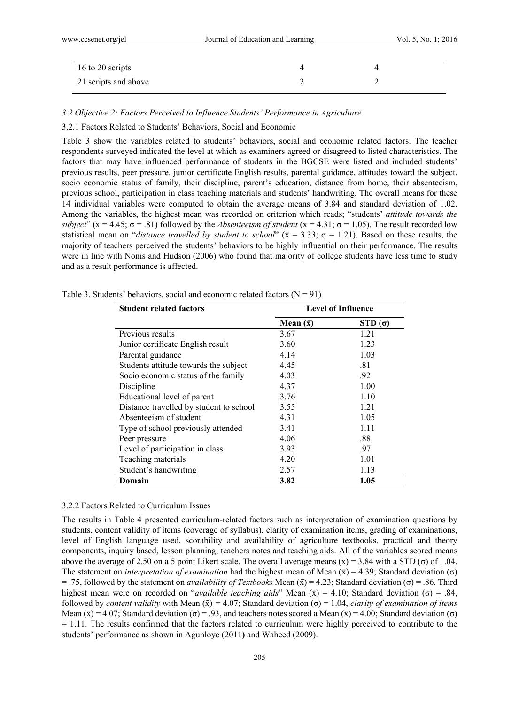2

## *3.2 Objective 2: Factors Perceived to Influence Students' Performance in Agriculture*

3.2.1 Factors Related to Students' Behaviors, Social and Economic

21 scripts and above

Table 3 show the variables related to students' behaviors, social and economic related factors. The teacher respondents surveyed indicated the level at which as examiners agreed or disagreed to listed characteristics. The factors that may have influenced performance of students in the BGCSE were listed and included students' previous results, peer pressure, junior certificate English results, parental guidance, attitudes toward the subject, socio economic status of family, their discipline, parent's education, distance from home, their absenteeism, previous school, participation in class teaching materials and students' handwriting. The overall means for these 14 individual variables were computed to obtain the average means of 3.84 and standard deviation of 1.02. Among the variables, the highest mean was recorded on criterion which reads; "students' *attitude towards the subject*" ( $\bar{x} = 4.45$ ;  $\sigma = .81$ ) followed by the *Absenteeism of student* ( $\bar{x} = 4.31$ ;  $\sigma = 1.05$ ). The result recorded low statistical mean on "*distance travelled by student to school*" ( $\bar{x}$  = 3.33;  $\sigma$  = 1.21). Based on these results, the majority of teachers perceived the students' behaviors to be highly influential on their performance. The results were in line with Nonis and Hudson (2006) who found that majority of college students have less time to study and as a result performance is affected.

| <b>Student related factors</b>          | <b>Level of Influence</b> |               |  |  |  |
|-----------------------------------------|---------------------------|---------------|--|--|--|
|                                         | Mean $(\bar{x})$          | $STD(\sigma)$ |  |  |  |
| Previous results                        | 3.67                      | 1.21          |  |  |  |
| Junior certificate English result       | 3.60                      | 1.23          |  |  |  |
| Parental guidance                       | 4.14                      | 1.03          |  |  |  |
| Students attitude towards the subject   | 4.45                      | .81           |  |  |  |
| Socio economic status of the family     | 4.03                      | .92           |  |  |  |
| Discipline                              | 4.37                      | 1.00          |  |  |  |
| Educational level of parent             | 3.76                      | 1.10          |  |  |  |
| Distance travelled by student to school | 3.55                      | 1.21          |  |  |  |
| Absenteeism of student                  | 4.31                      | 1.05          |  |  |  |
| Type of school previously attended      | 3.41                      | 1.11          |  |  |  |
| Peer pressure                           | 4.06                      | .88           |  |  |  |
| Level of participation in class         | 3.93                      | .97           |  |  |  |
| Teaching materials                      | 4.20                      | 1.01          |  |  |  |
| Student's handwriting                   | 2.57                      | 1.13          |  |  |  |
| Domain                                  | 3.82                      | 1.05          |  |  |  |

Table 3. Students' behaviors, social and economic related factors  $(N = 91)$ 

#### 3.2.2 Factors Related to Curriculum Issues

The results in Table 4 presented curriculum-related factors such as interpretation of examination questions by students, content validity of items (coverage of syllabus), clarity of examination items, grading of examinations, level of English language used, scorability and availability of agriculture textbooks, practical and theory components, inquiry based, lesson planning, teachers notes and teaching aids. All of the variables scored means above the average of 2.50 on a 5 point Likert scale. The overall average means  $(\bar{x}) = 3.84$  with a STD ( $\sigma$ ) of 1.04. The statement on *interpretation of examination* had the highest mean of Mean  $(\bar{x}) = 4.39$ ; Standard deviation (σ)  $=$  .75, followed by the statement on *availability of Textbooks* Mean ( $\bar{x}$ ) = 4.23; Standard deviation (σ) = .86. Third highest mean were on recorded on "*available teaching aids*" Mean ( $\bar{x}$ ) = 4.10; Standard deviation (σ) = .84, followed by *content validity* with Mean  $(\bar{x}) = 4.07$ ; Standard deviation  $(\sigma) = 1.04$ , *clarity of examination of items* Mean  $(\bar{x}) = 4.07$ ; Standard deviation (σ) = .93, and teachers notes scored a Mean  $(\bar{x}) = 4.00$ ; Standard deviation (σ)  $= 1.11$ . The results confirmed that the factors related to curriculum were highly perceived to contribute to the students' performance as shown in Agunloye (2011**)** and Waheed (2009).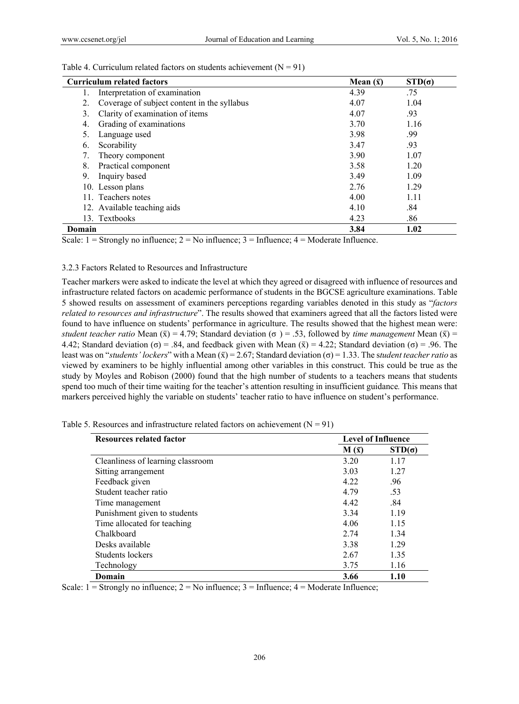| <b>Curriculum related factors</b>                 | Mean $(\bar{x})$ | $STD(\sigma)$ |  |  |  |  |
|---------------------------------------------------|------------------|---------------|--|--|--|--|
| Interpretation of examination<br>1.               | 4.39             |               |  |  |  |  |
| Coverage of subject content in the syllabus<br>2. | 4.07             | 1.04          |  |  |  |  |
| Clarity of examination of items<br>3.             | 4.07             | .93           |  |  |  |  |
| Grading of examinations<br>4.                     | 3.70             | 1.16          |  |  |  |  |
| 5.<br>Language used                               | 3.98             | .99           |  |  |  |  |
| Scorability<br>6.                                 | 3.47             | .93           |  |  |  |  |
| 7.<br>Theory component                            | 3.90             | 1.07          |  |  |  |  |
| Practical component<br>8.                         | 3.58             | 1.20          |  |  |  |  |
| 9.<br>Inquiry based                               | 3.49             | 1.09          |  |  |  |  |
| 10. Lesson plans                                  | 2.76             | 1.29          |  |  |  |  |
| 11. Teachers notes                                | 4.00             | 1.11          |  |  |  |  |
| 12. Available teaching aids                       | 4.10             | .84           |  |  |  |  |
| 13. Textbooks                                     | 4.23             | .86           |  |  |  |  |
| Domain                                            | 3.84             | 1.02          |  |  |  |  |

Table 4. Curriculum related factors on students achievement  $(N = 91)$ 

Scale:  $1 =$  Strongly no influence;  $2 =$  No influence;  $3 =$  Influence;  $4 =$  Moderate Influence.

#### 3.2.3 Factors Related to Resources and Infrastructure

Teacher markers were asked to indicate the level at which they agreed or disagreed with influence of resources and infrastructure related factors on academic performance of students in the BGCSE agriculture examinations. Table 5 showed results on assessment of examiners perceptions regarding variables denoted in this study as "*factors related to resources and infrastructure*". The results showed that examiners agreed that all the factors listed were found to have influence on students' performance in agriculture. The results showed that the highest mean were: *student teacher ratio* Mean ( $\bar{x}$ ) = 4.79; Standard deviation ( $\sigma$ ) = .53, followed by *time management* Mean ( $\bar{x}$ ) = 4.42; Standard deviation (σ) = .84, and feedback given with Mean ( $\bar{x}$ ) = 4.22; Standard deviation (σ) = .96. The least was on "*students' lockers*" with a Mean (x) = 2.67; Standard deviation (σ) = 1.33. The *student teacher ratio* as viewed by examiners to be highly influential among other variables in this construct. This could be true as the study by Moyles and Robison (2000) found that the high number of students to a teachers means that students spend too much of their time waiting for the teacher's attention resulting in insufficient guidance*.* This means that markers perceived highly the variable on students' teacher ratio to have influence on student's performance.

| <b>Resources related factor</b>   | <b>Level of Influence</b> |               |  |  |
|-----------------------------------|---------------------------|---------------|--|--|
|                                   | $M(\bar{x})$              | $STD(\sigma)$ |  |  |
| Cleanliness of learning classroom | 3.20                      | 1.17          |  |  |
| Sitting arrangement               | 3.03                      | 1.27          |  |  |
| Feedback given                    | 4 2 2                     | .96           |  |  |
| Student teacher ratio             | 4.79                      | .53           |  |  |
| Time management                   | 4.42                      | .84           |  |  |
| Punishment given to students      | 3.34                      | 1.19          |  |  |
| Time allocated for teaching       | 4.06                      | 1.15          |  |  |
| Chalkboard                        | 2.74                      | 1.34          |  |  |
| Desks available                   | 3.38                      | 1.29          |  |  |
| Students lockers                  | 2.67                      | 1.35          |  |  |
| Technology                        | 3.75                      | 1.16          |  |  |
| Domain                            | 3.66                      | 1.10          |  |  |

Table 5. Resources and infrastructure related factors on achievement  $(N = 91)$ 

Scale:  $1 =$  Strongly no influence;  $2 =$  No influence;  $3 =$  Influence;  $4 =$  Moderate Influence;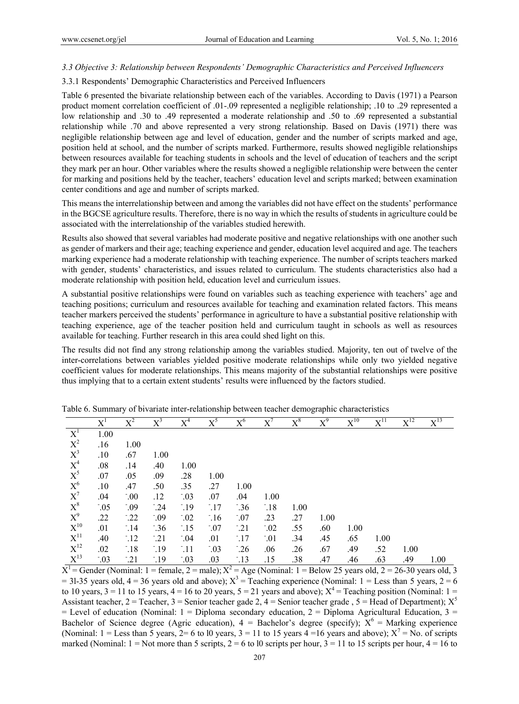## *3.3 Objective 3: Relationship between Respondents' Demographic Characteristics and Perceived Influencers*

#### 3.3.1 Respondents' Demographic Characteristics and Perceived Influencers

Table 6 presented the bivariate relationship between each of the variables. According to Davis (1971) a Pearson product moment correlation coefficient of .01-.09 represented a negligible relationship; .10 to .29 represented a low relationship and .30 to .49 represented a moderate relationship and .50 to .69 represented a substantial relationship while .70 and above represented a very strong relationship. Based on Davis (1971) there was negligible relationship between age and level of education, gender and the number of scripts marked and age, position held at school, and the number of scripts marked. Furthermore, results showed negligible relationships between resources available for teaching students in schools and the level of education of teachers and the script they mark per an hour. Other variables where the results showed a negligible relationship were between the center for marking and positions held by the teacher, teachers' education level and scripts marked; between examination center conditions and age and number of scripts marked.

This means the interrelationship between and among the variables did not have effect on the students' performance in the BGCSE agriculture results. Therefore, there is no way in which the results of students in agriculture could be associated with the interrelationship of the variables studied herewith.

Results also showed that several variables had moderate positive and negative relationships with one another such as gender of markers and their age; teaching experience and gender, education level acquired and age. The teachers marking experience had a moderate relationship with teaching experience. The number of scripts teachers marked with gender, students' characteristics, and issues related to curriculum. The students characteristics also had a moderate relationship with position held, education level and curriculum issues.

A substantial positive relationships were found on variables such as teaching experience with teachers' age and teaching positions; curriculum and resources available for teaching and examination related factors. This means teacher markers perceived the students' performance in agriculture to have a substantial positive relationship with teaching experience, age of the teacher position held and curriculum taught in schools as well as resources available for teaching. Further research in this area could shed light on this.

The results did not find any strong relationship among the variables studied. Majority, ten out of twelve of the inter-correlations between variables yielded positive moderate relationships while only two yielded negative coefficient values for moderate relationships. This means majority of the substantial relationships were positive thus implying that to a certain extent students' results were influenced by the factors studied.

|                   | $\boldsymbol{\mathrm{X}}^1$ | $\overline{\mathrm{X}^2}$ | $\overline{X}^3$ | $\text{X}^4$     | $\overline{X}^5$ | $\mathrm{X}^6$   | $\overline{X}^7$ | $X^8$ | $\overline{\mathrm{X}^9}$ | $X^{10}$ | $X^{11}$ | $\overline{X}^{12}$ | $X^{13}$ |
|-------------------|-----------------------------|---------------------------|------------------|------------------|------------------|------------------|------------------|-------|---------------------------|----------|----------|---------------------|----------|
| $X^1$             | 1.00                        |                           |                  |                  |                  |                  |                  |       |                           |          |          |                     |          |
| $X^2$             | .16                         | 1.00                      |                  |                  |                  |                  |                  |       |                           |          |          |                     |          |
| $X^3$             | .10                         | .67                       | 1.00             |                  |                  |                  |                  |       |                           |          |          |                     |          |
| $X^4$             | .08                         | .14                       | .40              | 1.00             |                  |                  |                  |       |                           |          |          |                     |          |
| $X^5$             | .07                         | .05                       | .09              | .28              | 1.00             |                  |                  |       |                           |          |          |                     |          |
| $X^6$             | .10                         | .47                       | .50              | .35              | .27              | 1.00             |                  |       |                           |          |          |                     |          |
| $X^7$             | .04                         | $\cdot$ 00.               | .12              | $\cdot$ .03      | .07              | .04              | 1.00             |       |                           |          |          |                     |          |
| $X^8$             | $\cdot$ .05                 | .09                       | $-24$            | $\cdot$ 19       | $\frac{17}{2}$   | $\frac{-36}{2}$  | $\overline{.18}$ | 1.00  |                           |          |          |                     |          |
| $X^9$             | .22                         | $-22$                     | .09              | $\cdot$ .02      | $\cdot$ 16       | $\cdot$ .07      | .23              | .27   | 1.00                      |          |          |                     |          |
| $\mathrm{X}^{10}$ | .01                         | $\cdot$ 14                | $-36$            | $\overline{.15}$ | $\cdot$ .07      | $\frac{-21}{2}$  | $\cdot$ .02      | .55   | .60                       | 1.00     |          |                     |          |
| $X^{11}$          | .40                         | $\overline{.12}$          | $-21$            | $\cdot$ .04      | .01              | $\cdot$ 17       | $\cdot$ .01      | .34   | .45                       | .65      | 1.00     |                     |          |
| $X^{12}$          | .02                         | $\cdot$ 18                | $-19$            | $\lceil$ .11     | $\cdot$ 03       | $\cdot$ 26       | .06              | .26   | .67                       | .49      | .52      | 1.00                |          |
| $X^{13}$          | $\cdot$ .03                 | $-21$                     | $\cdot$ 19       | $\cdot$ .03      | .03              | $\overline{.13}$ | .15              | .38   | .47                       | .46      | .63      | .49                 | 1.00     |

Table 6. Summary of bivariate inter-relationship between teacher demographic characteristics

 $\overline{X}^1$  = Gender (Nominal: 1 = female, 2 = male);  $X^2$  = Age (Nominal: 1 = Below 25 years old, 2 = 26-30 years old, 3  $= 31-35$  years old,  $4 = 36$  years old and above);  $X^3 =$  Teaching experience (Nominal:  $1 =$  Less than 5 years,  $2 = 6$ to 10 years,  $3 = 11$  to 15 years,  $4 = 16$  to 20 years,  $5 = 21$  years and above);  $X^4$  = Teaching position (Nominal:  $1 =$ Assistant teacher, 2 = Teacher, 3 = Senior teacher gade 2, 4 = Senior teacher grade, 5 = Head of Department);  $X^5$  $=$  Level of education (Nominal: 1 = Diploma secondary education, 2 = Diploma Agricultural Education, 3 = Bachelor of Science degree (Agric education),  $4 =$  Bachelor's degree (specify);  $X^6 =$  Marking experience (Nominal:  $1 =$  Less than 5 years,  $2 = 6$  to 10 years,  $3 = 11$  to 15 years  $4 = 16$  years and above);  $X^7 =$  No. of scripts marked (Nominal:  $1 = Not$  more than 5 scripts,  $2 = 6$  to 10 scripts per hour,  $3 = 11$  to 15 scripts per hour,  $4 = 16$  to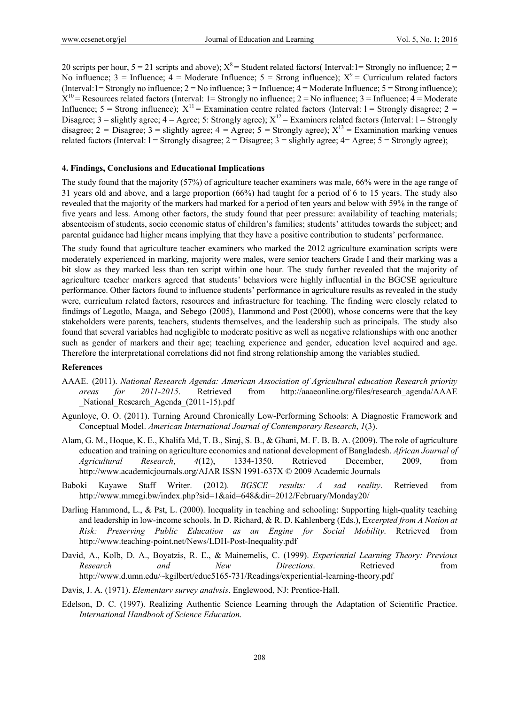20 scripts per hour,  $5 = 21$  scripts and above);  $X^8 =$  Student related factors( Interval: 1 = Strongly no influence; 2 = No influence;  $3 = \text{Influence}$ ;  $4 = \text{Modern}$  Influence;  $5 = \text{Strong influence}$ ;  $X^9 = \text{Current}$  related factors (Interval:  $I =$  Strongly no influence;  $2 =$  No influence;  $3 =$  Influence;  $4 =$  Moderate Influence;  $5 =$  Strong influence);  $X^{10}$  = Resources related factors (Interval: 1 = Strongly no influence; 2 = No influence; 3 = Influence; 4 = Moderate Influence;  $5 =$  Strong influence);  $X^{11} =$  Examination centre related factors (Interval:  $1 =$  Strongly disagree;  $2 =$ Disagree;  $3 =$  slightly agree;  $4 =$  Agree; 5: Strongly agree);  $X^{12} =$  Examiners related factors (Interval:  $1 =$  Strongly disagree; 2 = Disagree; 3 = slightly agree; 4 = Agree; 5 = Strongly agree);  $X^{13}$  = Examination marking venues related factors (Interval:  $l =$  Strongly disagree;  $2 =$  Disagree;  $3 =$  slightly agree;  $4 =$  Agree;  $5 =$  Strongly agree);

#### **4. Findings, Conclusions and Educational Implications**

The study found that the majority (57%) of agriculture teacher examiners was male, 66% were in the age range of 31 years old and above, and a large proportion (66%) had taught for a period of 6 to 15 years. The study also revealed that the majority of the markers had marked for a period of ten years and below with 59% in the range of five years and less. Among other factors, the study found that peer pressure: availability of teaching materials; absenteeism of students, socio economic status of children's families; students' attitudes towards the subject; and parental guidance had higher means implying that they have a positive contribution to students' performance.

The study found that agriculture teacher examiners who marked the 2012 agriculture examination scripts were moderately experienced in marking, majority were males, were senior teachers Grade I and their marking was a bit slow as they marked less than ten script within one hour. The study further revealed that the majority of agriculture teacher markers agreed that students' behaviors were highly influential in the BGCSE agriculture performance. Other factors found to influence students' performance in agriculture results as revealed in the study were, curriculum related factors, resources and infrastructure for teaching. The finding were closely related to findings of Legotlo, Maaga, and Sebego (2005), Hammond and Post (2000), whose concerns were that the key stakeholders were parents, teachers, students themselves, and the leadership such as principals. The study also found that several variables had negligible to moderate positive as well as negative relationships with one another such as gender of markers and their age; teaching experience and gender, education level acquired and age. Therefore the interpretational correlations did not find strong relationship among the variables studied.

#### **References**

- AAAE. (2011). *National Research Agenda: American Association of Agricultural education Research priority areas for 2011-2015*. Retrieved from http://aaaeonline.org/files/research\_agenda/AAAE National Research Agenda (2011-15).pdf
- Agunloye, O. O. (2011). Turning Around Chronically Low-Performing Schools: A Diagnostic Framework and Conceptual Model. *American International Journal of Contemporary Research*, *1*(3).
- Alam, G. M., Hoque, K. E., Khalifa Md, T. B., Siraj, S. B., & Ghani, M. F. B. B. A. (2009). The role of agriculture education and training on agriculture economics and national development of Bangladesh. *African Journal of Agricultural Research*, *4*(12), 1334-1350. Retrieved December, 2009, from http://www.academicjournals.org/AJAR ISSN 1991-637X © 2009 Academic Journals
- Baboki Kayawe Staff Writer. (2012). *BGSCE results: A sad reality*. Retrieved from http://www.mmegi.bw/index.php?sid=1&aid=648&dir=2012/February/Monday20/
- Darling Hammond, L., & Pst, L. (2000). Inequality in teaching and schooling: Supporting high-quality teaching and leadership in low-income schools. In D. Richard, & R. D. Kahlenberg (Eds.), E*xcerpted from A Notion at Risk: Preserving Public Education as an Engine for Social Mobility*. Retrieved from http://www.teaching-point.net/News/LDH-Post-Inequality.pdf
- David, A., Kolb, D. A., Boyatzis, R. E., & Mainemelis, C. (1999). *Experiential Learning Theory: Previous Research and New Directions*. Retrieved from http://www.d.umn.edu/~kgilbert/educ5165-731/Readings/experiential-learning-theory.pdf
- Davis, J. A. (1971). *Elementarv survey analvsis*. Englewood, NJ: Prentice-Hall.
- Edelson, D. C. (1997). Realizing Authentic Science Learning through the Adaptation of Scientific Practice. *International Handbook of Science Education*.